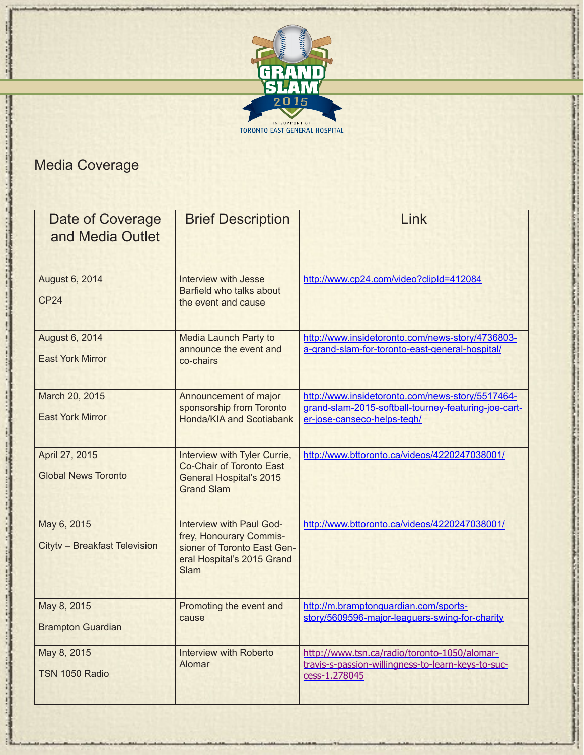

## Media Coverage

| Date of Coverage<br>and Media Outlet         | <b>Brief Description</b>                                                                                                        | Link                                                                                                                                    |
|----------------------------------------------|---------------------------------------------------------------------------------------------------------------------------------|-----------------------------------------------------------------------------------------------------------------------------------------|
| August 6, 2014<br>CP <sub>24</sub>           | <b>Interview with Jesse</b><br>Barfield who talks about<br>the event and cause                                                  | http://www.cp24.com/video?clipId=412084                                                                                                 |
| August 6, 2014<br><b>East York Mirror</b>    | <b>Media Launch Party to</b><br>announce the event and<br>co-chairs                                                             | http://www.insidetoronto.com/news-story/4736803-<br>a-grand-slam-for-toronto-east-general-hospital/                                     |
| March 20, 2015<br><b>East York Mirror</b>    | Announcement of major<br>sponsorship from Toronto<br>Honda/KIA and Scotiabank                                                   | http://www.insidetoronto.com/news-story/5517464-<br>grand-slam-2015-softball-tourney-featuring-joe-cart-<br>er-jose-canseco-helps-tegh/ |
| April 27, 2015<br><b>Global News Toronto</b> | Interview with Tyler Currie,<br>Co-Chair of Toronto East<br><b>General Hospital's 2015</b><br><b>Grand Slam</b>                 | http://www.bttoronto.ca/videos/4220247038001/                                                                                           |
| May 6, 2015<br>Citytv - Breakfast Television | Interview with Paul God-<br>frey, Honourary Commis-<br>sioner of Toronto East Gen-<br>eral Hospital's 2015 Grand<br><b>Slam</b> | http://www.bttoronto.ca/videos/4220247038001/                                                                                           |
| May 8, 2015<br><b>Brampton Guardian</b>      | Promoting the event and<br>cause                                                                                                | http://m.bramptonguardian.com/sports-<br>story/5609596-major-leaguers-swing-for-charity                                                 |
| May 8, 2015<br>TSN 1050 Radio                | Interview with Roberto<br>Alomar                                                                                                | http://www.tsn.ca/radio/toronto-1050/alomar-<br>travis-s-passion-willingness-to-learn-keys-to-suc-<br>cess-1.278045                     |